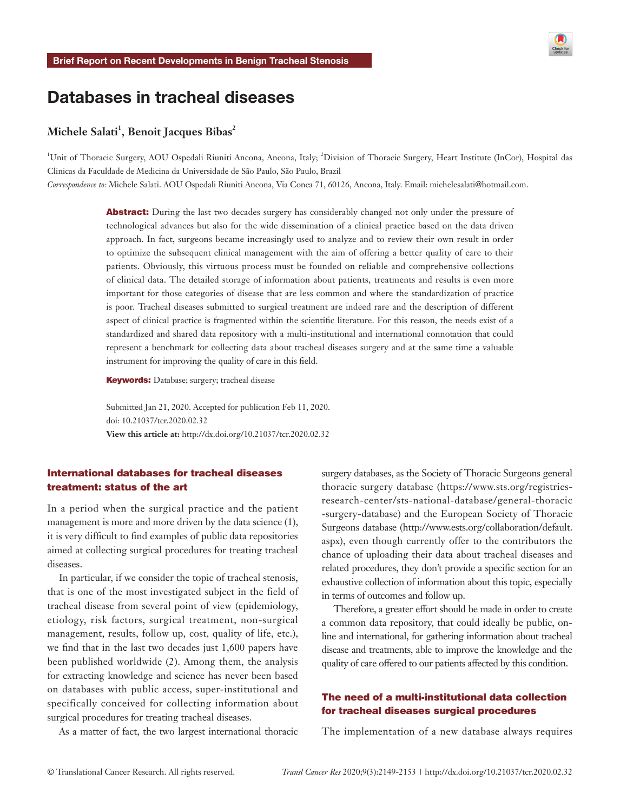

# Databases in tracheal diseases

# $\mathbf{Michele Salati}^1, \mathbf{Benoit Jacques \, Bibas}^2$

<sup>1</sup>Unit of Thoracic Surgery, AOU Ospedali Riuniti Ancona, Ancona, Italy; <sup>2</sup>Division of Thoracic Surgery, Heart Institute (InCor), Hospital das Clinicas da Faculdade de Medicina da Universidade de São Paulo, São Paulo, Brazil

*Correspondence to:* Michele Salati. AOU Ospedali Riuniti Ancona, Via Conca 71, 60126, Ancona, Italy. Email: michelesalati@hotmail.com.

Abstract: During the last two decades surgery has considerably changed not only under the pressure of technological advances but also for the wide dissemination of a clinical practice based on the data driven approach. In fact, surgeons became increasingly used to analyze and to review their own result in order to optimize the subsequent clinical management with the aim of offering a better quality of care to their patients. Obviously, this virtuous process must be founded on reliable and comprehensive collections of clinical data. The detailed storage of information about patients, treatments and results is even more important for those categories of disease that are less common and where the standardization of practice is poor. Tracheal diseases submitted to surgical treatment are indeed rare and the description of different aspect of clinical practice is fragmented within the scientific literature. For this reason, the needs exist of a standardized and shared data repository with a multi-institutional and international connotation that could represent a benchmark for collecting data about tracheal diseases surgery and at the same time a valuable instrument for improving the quality of care in this field.

Keywords: Database; surgery; tracheal disease

Submitted Jan 21, 2020. Accepted for publication Feb 11, 2020. doi: 10.21037/tcr.2020.02.32 **View this article at:** http://dx.doi.org/10.21037/tcr.2020.02.32

# International databases for tracheal diseases treatment: status of the art

In a period when the surgical practice and the patient management is more and more driven by the data science (1), it is very difficult to find examples of public data repositories aimed at collecting surgical procedures for treating tracheal diseases.

In particular, if we consider the topic of tracheal stenosis, that is one of the most investigated subject in the field of tracheal disease from several point of view (epidemiology, etiology, risk factors, surgical treatment, non-surgical management, results, follow up, cost, quality of life, etc.), we find that in the last two decades just 1,600 papers have been published worldwide (2). Among them, the analysis for extracting knowledge and science has never been based on databases with public access, super-institutional and specifically conceived for collecting information about surgical procedures for treating tracheal diseases.

As a matter of fact, the two largest international thoracic

surgery databases, as the Society of Thoracic Surgeons general thoracic surgery database ([https://www.sts.org/registries](https://www.sts.org/registries-research-center/sts-national-database/general-thoracic -surgery-datab)[research-center/sts-national-database/general-thoracic](https://www.sts.org/registries-research-center/sts-national-database/general-thoracic -surgery-datab)  [-surgery-database](https://www.sts.org/registries-research-center/sts-national-database/general-thoracic -surgery-datab)) and the European Society of Thoracic Surgeons database [\(http://www.ests.org/collaboration/default.](http://www.ests.org/collaboration/default.aspx) [aspx](http://www.ests.org/collaboration/default.aspx)), even though currently offer to the contributors the chance of uploading their data about tracheal diseases and related procedures, they don't provide a specific section for an exhaustive collection of information about this topic, especially in terms of outcomes and follow up.

Therefore, a greater effort should be made in order to create a common data repository, that could ideally be public, online and international, for gathering information about tracheal disease and treatments, able to improve the knowledge and the quality of care offered to our patients affected by this condition.

# The need of a multi-institutional data collection for tracheal diseases surgical procedures

The implementation of a new database always requires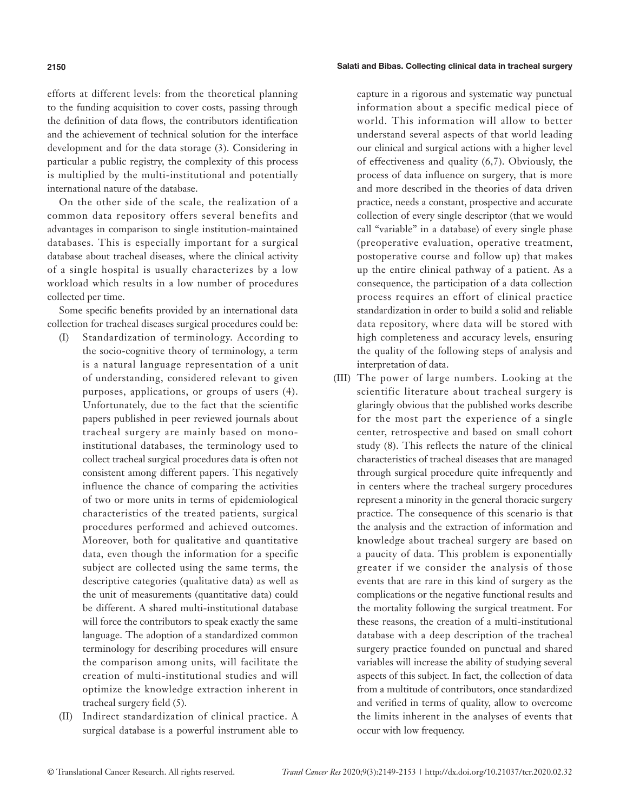#### **2150** Salati and Bibas. Collecting clinical data in tracheal surgery

efforts at different levels: from the theoretical planning to the funding acquisition to cover costs, passing through the definition of data flows, the contributors identification and the achievement of technical solution for the interface development and for the data storage (3). Considering in particular a public registry, the complexity of this process is multiplied by the multi-institutional and potentially international nature of the database.

On the other side of the scale, the realization of a common data repository offers several benefits and advantages in comparison to single institution-maintained databases. This is especially important for a surgical database about tracheal diseases, where the clinical activity of a single hospital is usually characterizes by a low workload which results in a low number of procedures collected per time.

Some specific benefits provided by an international data collection for tracheal diseases surgical procedures could be:

- (I) Standardization of terminology. According to the socio-cognitive theory of terminology, a term is a natural language representation of a unit of understanding, considered relevant to given purposes, applications, or groups of users (4). Unfortunately, due to the fact that the scientific papers published in peer reviewed journals about tracheal surgery are mainly based on monoinstitutional databases, the terminology used to collect tracheal surgical procedures data is often not consistent among different papers. This negatively influence the chance of comparing the activities of two or more units in terms of epidemiological characteristics of the treated patients, surgical procedures performed and achieved outcomes. Moreover, both for qualitative and quantitative data, even though the information for a specific subject are collected using the same terms, the descriptive categories (qualitative data) as well as the unit of measurements (quantitative data) could be different. A shared multi-institutional database will force the contributors to speak exactly the same language. The adoption of a standardized common terminology for describing procedures will ensure the comparison among units, will facilitate the creation of multi-institutional studies and will optimize the knowledge extraction inherent in tracheal surgery field (5).
- (II) Indirect standardization of clinical practice. A surgical database is a powerful instrument able to

capture in a rigorous and systematic way punctual information about a specific medical piece of world. This information will allow to better understand several aspects of that world leading our clinical and surgical actions with a higher level of effectiveness and quality (6,7). Obviously, the process of data influence on surgery, that is more and more described in the theories of data driven practice, needs a constant, prospective and accurate collection of every single descriptor (that we would call "variable" in a database) of every single phase (preoperative evaluation, operative treatment, postoperative course and follow up) that makes up the entire clinical pathway of a patient. As a consequence, the participation of a data collection process requires an effort of clinical practice standardization in order to build a solid and reliable data repository, where data will be stored with high completeness and accuracy levels, ensuring the quality of the following steps of analysis and interpretation of data.

(III) The power of large numbers. Looking at the scientific literature about tracheal surgery is glaringly obvious that the published works describe for the most part the experience of a single center, retrospective and based on small cohort study (8). This reflects the nature of the clinical characteristics of tracheal diseases that are managed through surgical procedure quite infrequently and in centers where the tracheal surgery procedures represent a minority in the general thoracic surgery practice. The consequence of this scenario is that the analysis and the extraction of information and knowledge about tracheal surgery are based on a paucity of data. This problem is exponentially greater if we consider the analysis of those events that are rare in this kind of surgery as the complications or the negative functional results and the mortality following the surgical treatment. For these reasons, the creation of a multi-institutional database with a deep description of the tracheal surgery practice founded on punctual and shared variables will increase the ability of studying several aspects of this subject. In fact, the collection of data from a multitude of contributors, once standardized and verified in terms of quality, allow to overcome the limits inherent in the analyses of events that occur with low frequency.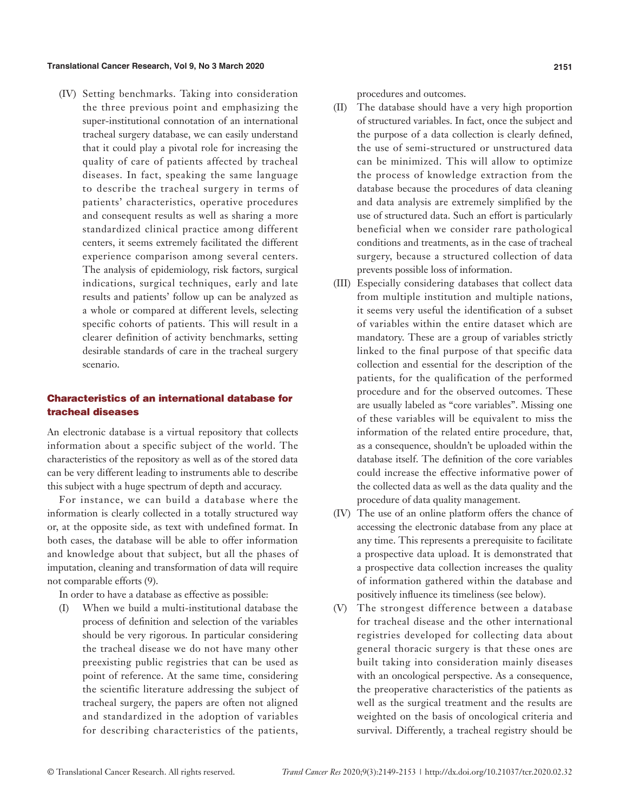#### **Translational Cancer Research, Vol 9, No 3 March 2020 2151**

(IV) Setting benchmarks. Taking into consideration the three previous point and emphasizing the super-institutional connotation of an international tracheal surgery database, we can easily understand that it could play a pivotal role for increasing the quality of care of patients affected by tracheal diseases. In fact, speaking the same language to describe the tracheal surgery in terms of patients' characteristics, operative procedures and consequent results as well as sharing a more standardized clinical practice among different centers, it seems extremely facilitated the different experience comparison among several centers. The analysis of epidemiology, risk factors, surgical indications, surgical techniques, early and late results and patients' follow up can be analyzed as a whole or compared at different levels, selecting specific cohorts of patients. This will result in a clearer definition of activity benchmarks, setting desirable standards of care in the tracheal surgery scenario.

# Characteristics of an international database for tracheal diseases

An electronic database is a virtual repository that collects information about a specific subject of the world. The characteristics of the repository as well as of the stored data can be very different leading to instruments able to describe this subject with a huge spectrum of depth and accuracy.

For instance, we can build a database where the information is clearly collected in a totally structured way or, at the opposite side, as text with undefined format. In both cases, the database will be able to offer information and knowledge about that subject, but all the phases of imputation, cleaning and transformation of data will require not comparable efforts (9).

In order to have a database as effective as possible:

(I) When we build a multi-institutional database the process of definition and selection of the variables should be very rigorous. In particular considering the tracheal disease we do not have many other preexisting public registries that can be used as point of reference. At the same time, considering the scientific literature addressing the subject of tracheal surgery, the papers are often not aligned and standardized in the adoption of variables for describing characteristics of the patients,

procedures and outcomes.

- (II) The database should have a very high proportion of structured variables. In fact, once the subject and the purpose of a data collection is clearly defined, the use of semi-structured or unstructured data can be minimized. This will allow to optimize the process of knowledge extraction from the database because the procedures of data cleaning and data analysis are extremely simplified by the use of structured data. Such an effort is particularly beneficial when we consider rare pathological conditions and treatments, as in the case of tracheal surgery, because a structured collection of data prevents possible loss of information.
- (III) Especially considering databases that collect data from multiple institution and multiple nations, it seems very useful the identification of a subset of variables within the entire dataset which are mandatory. These are a group of variables strictly linked to the final purpose of that specific data collection and essential for the description of the patients, for the qualification of the performed procedure and for the observed outcomes. These are usually labeled as "core variables". Missing one of these variables will be equivalent to miss the information of the related entire procedure, that, as a consequence, shouldn't be uploaded within the database itself. The definition of the core variables could increase the effective informative power of the collected data as well as the data quality and the procedure of data quality management.
- (IV) The use of an online platform offers the chance of accessing the electronic database from any place at any time. This represents a prerequisite to facilitate a prospective data upload. It is demonstrated that a prospective data collection increases the quality of information gathered within the database and positively influence its timeliness (see below).
- (V) The strongest difference between a database for tracheal disease and the other international registries developed for collecting data about general thoracic surgery is that these ones are built taking into consideration mainly diseases with an oncological perspective. As a consequence, the preoperative characteristics of the patients as well as the surgical treatment and the results are weighted on the basis of oncological criteria and survival. Differently, a tracheal registry should be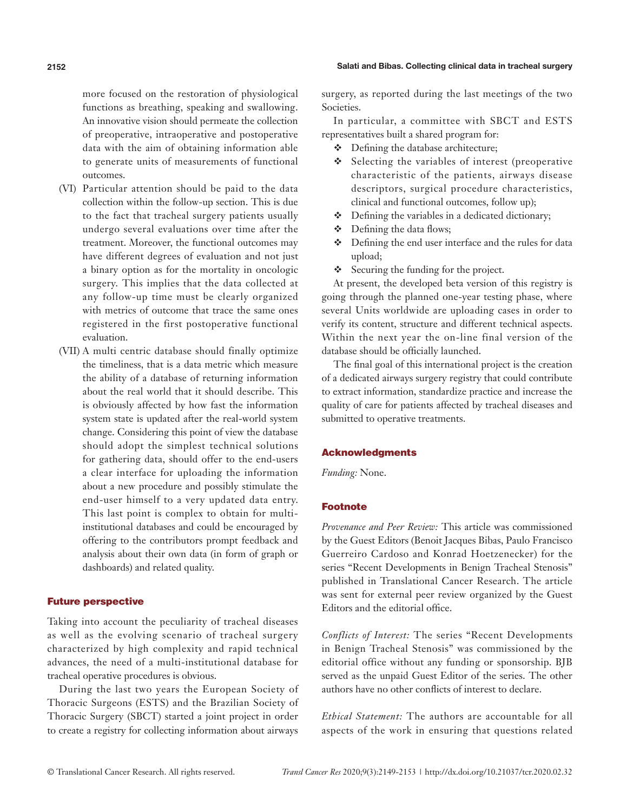more focused on the restoration of physiological functions as breathing, speaking and swallowing. An innovative vision should permeate the collection of preoperative, intraoperative and postoperative data with the aim of obtaining information able to generate units of measurements of functional outcomes.

- (VI) Particular attention should be paid to the data collection within the follow-up section. This is due to the fact that tracheal surgery patients usually undergo several evaluations over time after the treatment. Moreover, the functional outcomes may have different degrees of evaluation and not just a binary option as for the mortality in oncologic surgery. This implies that the data collected at any follow-up time must be clearly organized with metrics of outcome that trace the same ones registered in the first postoperative functional evaluation.
- (VII) A multi centric database should finally optimize the timeliness, that is a data metric which measure the ability of a database of returning information about the real world that it should describe. This is obviously affected by how fast the information system state is updated after the real-world system change. Considering this point of view the database should adopt the simplest technical solutions for gathering data, should offer to the end-users a clear interface for uploading the information about a new procedure and possibly stimulate the end-user himself to a very updated data entry. This last point is complex to obtain for multiinstitutional databases and could be encouraged by offering to the contributors prompt feedback and analysis about their own data (in form of graph or dashboards) and related quality.

## Future perspective

Taking into account the peculiarity of tracheal diseases as well as the evolving scenario of tracheal surgery characterized by high complexity and rapid technical advances, the need of a multi-institutional database for tracheal operative procedures is obvious.

During the last two years the European Society of Thoracic Surgeons (ESTS) and the Brazilian Society of Thoracic Surgery (SBCT) started a joint project in order to create a registry for collecting information about airways surgery, as reported during the last meetings of the two Societies.

In particular, a committee with SBCT and ESTS representatives built a shared program for:

- Defining the database architecture;
- $\triangle$  Selecting the variables of interest (preoperative characteristic of the patients, airways disease descriptors, surgical procedure characteristics, clinical and functional outcomes, follow up);
- $\triangle$  Defining the variables in a dedicated dictionary;
- Defining the data flows;
- Defining the end user interface and the rules for data upload;
- Securing the funding for the project.

At present, the developed beta version of this registry is going through the planned one-year testing phase, where several Units worldwide are uploading cases in order to verify its content, structure and different technical aspects. Within the next year the on-line final version of the database should be officially launched.

The final goal of this international project is the creation of a dedicated airways surgery registry that could contribute to extract information, standardize practice and increase the quality of care for patients affected by tracheal diseases and submitted to operative treatments.

### Acknowledgments

*Funding:* None.

### Footnote

*Provenance and Peer Review:* This article was commissioned by the Guest Editors (Benoit Jacques Bibas, Paulo Francisco Guerreiro Cardoso and Konrad Hoetzenecker) for the series "Recent Developments in Benign Tracheal Stenosis" published in Translational Cancer Research. The article was sent for external peer review organized by the Guest Editors and the editorial office.

*Conflicts of Interest:* The series "Recent Developments in Benign Tracheal Stenosis" was commissioned by the editorial office without any funding or sponsorship. BJB served as the unpaid Guest Editor of the series. The other authors have no other conflicts of interest to declare.

*Ethical Statement:* The authors are accountable for all aspects of the work in ensuring that questions related